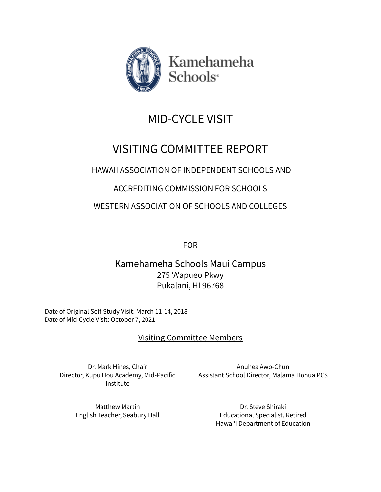

Kamehameha Schools<sup>®</sup>

# MID-CYCLE VISIT

## VISITING COMMITTEE REPORT

### HAWAII ASSOCIATION OF INDEPENDENT SCHOOLS AND

### ACCREDITING COMMISSION FOR SCHOOLS

WESTERN ASSOCIATION OF SCHOOLS AND COLLEGES

FOR

Kamehameha Schools Maui Campus 275 'A'apueo Pkwy Pukalani, HI 96768

Date of Original Self-Study Visit: March 11-14, 2018 Date of Mid-Cycle Visit: October 7, 2021

### Visiting Committee Members

Dr. Mark Hines, Chair Director, Kupu Hou Academy, Mid-Pacific Institute

Anuhea Awo-Chun Assistant School Director, Mālama Honua PCS

Matthew Martin English Teacher, Seabury Hall

Dr. Steve Shiraki Educational Specialist, Retired Hawaiʻi Department of Education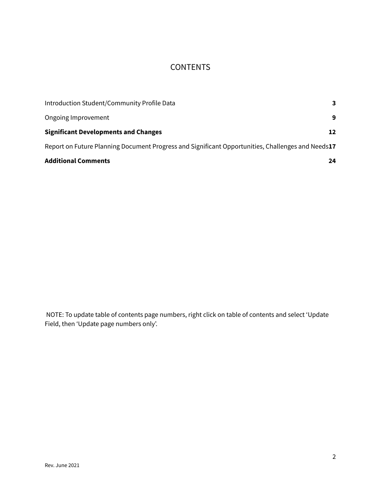### **CONTENTS**

| <b>Additional Comments</b>                                                                        | 24 |
|---------------------------------------------------------------------------------------------------|----|
| Report on Future Planning Document Progress and Significant Opportunities, Challenges and Needs17 |    |
| <b>Significant Developments and Changes</b>                                                       | 12 |
| Ongoing Improvement                                                                               | 9  |
| Introduction Student/Community Profile Data                                                       | 3  |

NOTE: To update table of contents page numbers, right click on table of contents and select ʻUpdate Field, then ʻUpdate page numbers only'.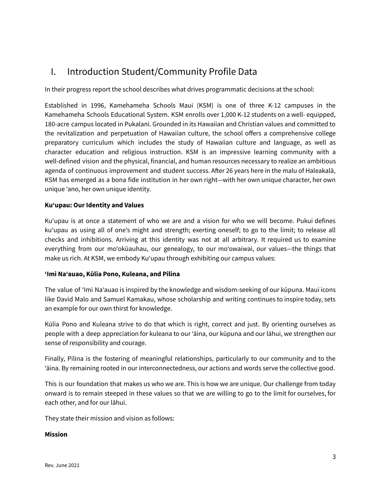### <span id="page-3-0"></span>I. Introduction Student/Community Profile Data

In their progress report the school describes what drives programmatic decisions at the school:

Established in 1996, Kamehameha Schools Maui (KSM) is one of three K‐12 campuses in the Kamehameha Schools Educational System. KSM enrolls over 1,000 K‐12 students on a well‐ equipped, 180‐acre campus located in Pukalani. Grounded in its Hawaiian and Christian values and committed to the revitalization and perpetuation of Hawaiian culture, the school offers a comprehensive college preparatory curriculum which includes the study of Hawaiian culture and language, as well as character education and religious instruction. KSM is an impressive learning community with a well-defined vision and the physical, financial, and human resources necessary to realize an ambitious agenda of continuous improvement and student success. After 26 years here in the malu of Haleakalā, KSM has emerged as a bona fide institution in her own right—with her own unique character, her own unique ʻano, her own unique identity.

#### **Kuʻupau: Our Identity and Values**

Kuʻupau is at once a statement of who we are and a vision for who we will become. Pukui defines kuʻupau as using all of one's might and strength; exerting oneself; to go to the limit; to release all checks and inhibitions. Arriving at this identity was not at all arbitrary. It required us to examine everything from our moʻokūauhau, our genealogy, to our moʻowaiwai, our values—the things that make us rich. At KSM, we embody Kuʻupau through exhibiting our campus values:

#### **ʻImi Naʻauao, Kūlia Pono, Kuleana, and Pilina**

The value of ʻImi Naʻauao is inspired by the knowledge and wisdom-seeking of our kūpuna. Maui icons like David Malo and Samuel Kamakau, whose scholarship and writing continues to inspire today, sets an example for our own thirst for knowledge.

Kūlia Pono and Kuleana strive to do that which is right, correct and just. By orienting ourselves as people with a deep appreciation for kuleana to our 'āina, our kūpuna and our lāhui, we strengthen our sense of responsibility and courage.

Finally, Pilina is the fostering of meaningful relationships, particularly to our community and to the ʻāina. By remaining rooted in our interconnectedness, our actions and words serve the collective good.

This is our foundation that makes us who we are. This is how we are unique. Our challenge from today onward is to remain steeped in these values so that we are willing to go to the limit for ourselves, for each other, and for our lāhui.

They state their mission and vision as follows:

#### **Mission**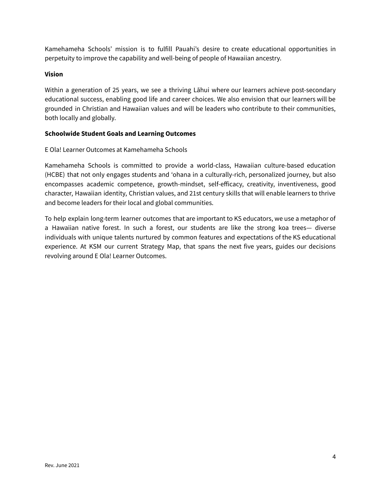Kamehameha Schools' mission is to fulfill Pauahi's desire to create educational opportunities in perpetuity to improve the capability and well‐being of people of Hawaiian ancestry.

#### **Vision**

Within a generation of 25 years, we see a thriving Lāhui where our learners achieve post-secondary educational success, enabling good life and career choices. We also envision that our learners will be grounded in Christian and Hawaiian values and will be leaders who contribute to their communities, both locally and globally.

#### **Schoolwide Student Goals and Learning Outcomes**

E Ola! Learner Outcomes at Kamehameha Schools

Kamehameha Schools is committed to provide a world‐class, Hawaiian culture‐based education (HCBE) that not only engages students and 'ohana in a culturally‐rich, personalized journey, but also encompasses academic competence, growth‐mindset, self‐efficacy, creativity, inventiveness, good character, Hawaiian identity, Christian values, and 21st century skills that will enable learners to thrive and become leaders for their local and global communities.

To help explain long-term learner outcomes that are important to KS educators, we use a metaphor of a Hawaiian native forest. In such a forest, our students are like the strong koa trees— diverse individuals with unique talents nurtured by common features and expectations of the KS educational experience. At KSM our current Strategy Map, that spans the next five years, guides our decisions revolving around E Ola! Learner Outcomes.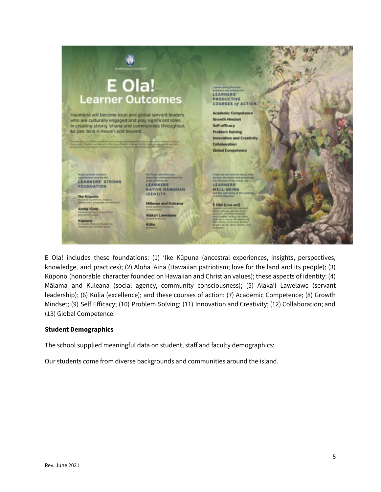|                                                                                                                                                                                                                                                                                                                                                                                                                                                                                                                                                                | <b>SCHOOLS</b>                                                                                                                                                                                                                                                                                                 |                                                                                                                                                                                                                                                                                                                                                                                                                                                                                                                                                           |  |
|----------------------------------------------------------------------------------------------------------------------------------------------------------------------------------------------------------------------------------------------------------------------------------------------------------------------------------------------------------------------------------------------------------------------------------------------------------------------------------------------------------------------------------------------------------------|----------------------------------------------------------------------------------------------------------------------------------------------------------------------------------------------------------------------------------------------------------------------------------------------------------------|-----------------------------------------------------------------------------------------------------------------------------------------------------------------------------------------------------------------------------------------------------------------------------------------------------------------------------------------------------------------------------------------------------------------------------------------------------------------------------------------------------------------------------------------------------------|--|
| E Ola!<br><b>Learner Outcomes</b><br>Haumana will become local and global servant leaders<br>who are culturally engaged and play significant roles<br>in creating strong 'ohana and communities throughout<br>ka pae 'âina o Hawai'i and beyond.<br>The managines of a Native Hamilton functi convers Kernshamsher's learner and constituted in actions<br>these goals. Students are deemed to the army of plants meteorgy referring particular and otherwise.<br>unique takints myhand by contract experiences charged in a fundatorially \$77 - 1/2 photoson |                                                                                                                                                                                                                                                                                                                | Leaves spring from the<br>branches and embody the<br><b>LEARNERS'</b><br><b>PRODUCTIVE</b><br><b>COURSES of ACTION.</b><br><b>Academic Competence</b><br><b>Growth Mindset</b><br>Self-efficacy<br><b>Problem Solving</b><br><b>Innovation and Creativity</b><br>Collaboration<br><b>Global Competence</b>                                                                                                                                                                                                                                                |  |
| <b>Projets provide constant</b><br>national and are the<br><b>LEARNERS' STRONG</b><br>FOUNDATION.<br><b>Tke Küpuna</b><br>Aloha 'Aina<br>Howevier permanent has Jor Ear<br><b>And old Bigmann</b><br>Küpono<br>in reproduct dispension that playing on<br>Howards and Christian rature.                                                                                                                                                                                                                                                                        | The Trunk and Branches.<br>draw their substance from the<br>roots and form the<br><b>LEARNERS'</b><br>NATIVE HAWAIIAN<br><b>IDENTITY.</b><br><b>Militarria and Kuleana</b><br>Social opening environmental<br><b>CONSULTANTS</b><br>Alaka'i Lawelawe<br><b>Senated Instancial</b><br>Külia<br><b>Constance</b> | Fruits are not only the result, they<br>are also the seeds that perpetuate<br>the allegate's of the funest, the<br><b>LEARNERS'</b><br><b>WELL-BEING</b><br>and the well-being of the contenda.)<br>as article they five.<br>E Ola! (Live on!)<br>Students culturally their man and-<br>being-stafford, special, social<br>ationality, physical amational,<br>and crigative-so they can three<br>and help to much the allegeon of<br><b>Bank Middell, domesticability, Air Abhual</b><br>Minatel's Asturdar deliver a monetar's analy<br><b>Recherent</b> |  |

E Ola! includes these foundations: (1) 'Ike Kūpuna (ancestral experiences, insights, perspectives, knowledge, and practices); (2) Aloha 'Āina (Hawaiian patriotism; love for the land and its people); (3) Kūpono (honorable character founded on Hawaiian and Christian values); these aspects of identity: (4) Mālama and Kuleana (social agency, community consciousness); (5) Alaka'i Lawelawe (servant leadership); (6) Kūlia (excellence); and these courses of action: (7) Academic Competence; (8) Growth Mindset; (9) Self Efficacy; (10) Problem Solving; (11) Innovation and Creativity; (12) Collaboration; and (13) Global Competence.

#### **Student Demographics**

The school supplied meaningful data on student, staff and faculty demographics:

Our students come from diverse backgrounds and communities around the island.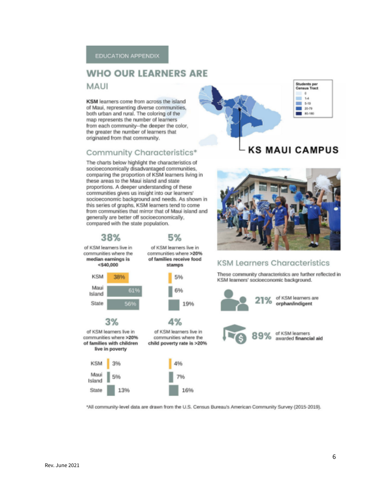### **WHO OUR LEARNERS ARE**

**MAUI** 

KSM learners come from across the island of Maui, representing diverse communities, both urban and rural. The coloring of the map represents the number of learners from each community--the deeper the color, the greater the number of learners that originated from that community.

#### Community Characteristics\*

The charts below highlight the characteristics of socioeconomically disadvantaged communities, comparing the proportion of KSM learners living in these areas to the Maui island and state proportions. A deeper understanding of these communities gives us insight into our learners' socioeconomic background and needs. As shown in this series of graphs. KSM learners tend to come from communities that mirror that of Maui island and generally are better off socioeconomically, compared with the state population.



#### Students per<br>Census Tract ö, ÷  $14$  $= 5-10$ 20-79 80-180

### **KS MAUI CAMPUS**



#### **KSM Learners Characteristics**

These community characteristics are further reflected in KSM learners' socioeconomic background.



\*All community-level data are drawn from the U.S. Census Bureau's American Community Survey (2015-2019).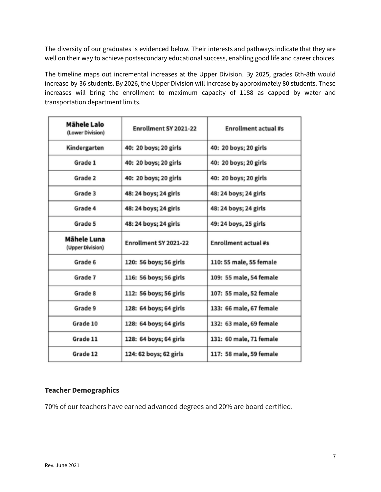The diversity of our graduates is evidenced below. Their interests and pathways indicate that they are well on their way to achieve postsecondary educational success, enabling good life and career choices.

The timeline maps out incremental increases at the Upper Division. By 2025, grades 6th-8th would increase by 36 students. By 2026, the Upper Division will increase by approximately 80 students. These increases will bring the enrollment to maximum capacity of 1188 as capped by water and transportation department limits.

| Mähele Lalo<br>(Lower Division) | Enrollment SY 2021-22  | Enrollment actual #s        |  |
|---------------------------------|------------------------|-----------------------------|--|
| Kindergarten                    | 40: 20 boys; 20 girls  | 40: 20 boys; 20 girls       |  |
| Grade 1                         | 40: 20 boys; 20 girls  | 40: 20 boys; 20 girls       |  |
| Grade 2                         | 40: 20 boys; 20 girls  | 40: 20 boys; 20 girls       |  |
| Grade 3                         | 48: 24 boys; 24 girls  | 48: 24 boys; 24 girls       |  |
| Grade 4                         | 48: 24 boys; 24 girls  | 48: 24 boys; 24 girls       |  |
| Grade 5                         | 48: 24 boys; 24 girls  | 49: 24 boys, 25 girls       |  |
| Mähele Luna<br>(Upper Division) | Enrollment SY 2021-22  | <b>Enrollment actual #s</b> |  |
| Grade 6                         | 120: 56 boys; 56 girls | 110: 55 male, 55 female     |  |
| Grade 7                         | 116: 56 boys; 56 girls | 109: 55 male, 54 female     |  |
| Grade 8                         | 112: 56 boys; 56 girls | 107: 55 male, 52 female     |  |
| Grade 9                         | 128: 64 boys; 64 girls | 133: 66 male, 67 female     |  |
| Grade 10                        | 128: 64 boys; 64 girls | 132: 63 male, 69 female     |  |
| Grade 11                        | 128: 64 boys; 64 girls | 131: 60 male, 71 female     |  |
| Grade 12                        | 124: 62 boys; 62 girls | 117: 58 male, 59 female     |  |

#### **Teacher Demographics**

70% of our teachers have earned advanced degrees and 20% are board certified.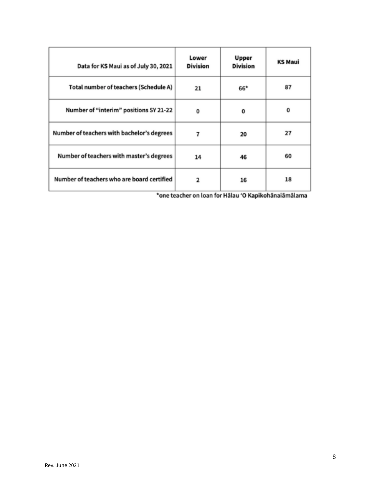| Data for KS Maui as of July 30, 2021       | Lower<br><b>Division</b> | Upper<br><b>Division</b> | <b>KS Maui</b> |
|--------------------------------------------|--------------------------|--------------------------|----------------|
| Total number of teachers (Schedule A)      | 21                       | 66*                      | 87             |
| Number of "interim" positions SY 21-22     | 0                        | 0                        | 0              |
| Number of teachers with bachelor's degrees | 7                        | 20                       | 27             |
| Number of teachers with master's degrees   | 14                       | 46                       | 60             |
| Number of teachers who are board certified | 2                        | 16                       | 18             |

\*one teacher on loan for Hālau 'O Kapikohānaiāmālama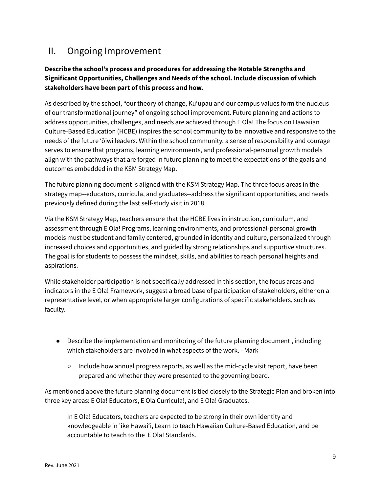### <span id="page-9-0"></span>II. Ongoing Improvement

#### **Describe the school's process and procedures for addressing the Notable Strengths and Significant Opportunities, Challenges and Needs of the school. Include discussion of which stakeholders have been part of this process and how.**

As described by the school, "our theory of change, Kuʻupau and our campus values form the nucleus of our transformational journey" of ongoing school improvement. Future planning and actions to address opportunities, challenges, and needs are achieved through E Ola! The focus on Hawaiian Culture-Based Education (HCBE) inspires the school community to be innovative and responsive to the needs of the future ʻōiwi leaders. Within the school community, a sense of responsibility and courage serves to ensure that programs, learning environments, and professional-personal growth models align with the pathways that are forged in future planning to meet the expectations of the goals and outcomes embedded in the KSM Strategy Map.

The future planning document is aligned with the KSM Strategy Map. The three focus areas in the strategy map--educators, curricula, and graduates--address the significant opportunities, and needs previously defined during the last self-study visit in 2018.

Via the KSM Strategy Map, teachers ensure that the HCBE lives in instruction, curriculum, and assessment through E Ola! Programs, learning environments, and professional-personal growth models must be student and family centered, grounded in identity and culture, personalized through increased choices and opportunities, and guided by strong relationships and supportive structures. The goal is for students to possess the mindset, skills, and abilities to reach personal heights and aspirations.

While stakeholder participation is not specifically addressed in this section, the focus areas and indicators in the E Ola! Framework, suggest a broad base of participation of stakeholders, either on a representative level, or when appropriate larger configurations of specific stakeholders, such as faculty.

- Describe the implementation and monitoring of the future planning document , including which stakeholders are involved in what aspects of the work. - Mark
	- $\circ$  Include how annual progress reports, as well as the mid-cycle visit report, have been prepared and whether they were presented to the governing board.

As mentioned above the future planning document is tied closely to the Strategic Plan and broken into three key areas: E Ola! Educators, E Ola Curricula!, and E Ola! Graduates.

In E Ola! Educators, teachers are expected to be strong in their own identity and knowledgeable in 'ike Hawai'i, Learn to teach Hawaiian Culture-Based Education, and be accountable to teach to the E Ola! Standards.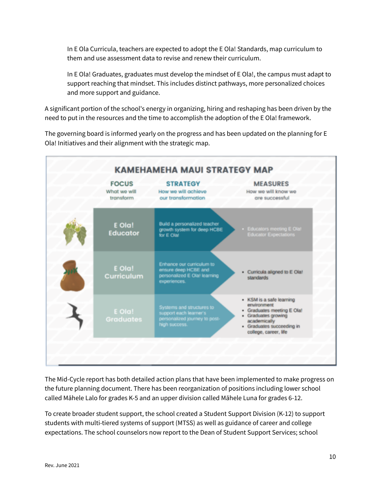In E Ola Curricula, teachers are expected to adopt the E Ola! Standards, map curriculum to them and use assessment data to revise and renew their curriculum.

In E Ola! Graduates, graduates must develop the mindset of E Ola!, the campus must adapt to support reaching that mindset. This includes distinct pathways, more personalized choices and more support and guidance.

A significant portion of the school's energy in organizing, hiring and reshaping has been driven by the need to put in the resources and the time to accomplish the adoption of the E Ola! framework.

The governing board is informed yearly on the progress and has been updated on the planning for E Ola! Initiatives and their alignment with the strategic map.



The Mid-Cycle report has both detailed action plans that have been implemented to make progress on the future planning document. There has been reorganization of positions including lower school called Māhele Lalo for grades K-5 and an upper division called Māhele Luna for grades 6-12.

To create broader student support, the school created a Student Support Division (K-12) to support students with multi-tiered systems of support (MTSS) as well as guidance of career and college expectations. The school counselors now report to the Dean of Student Support Services; school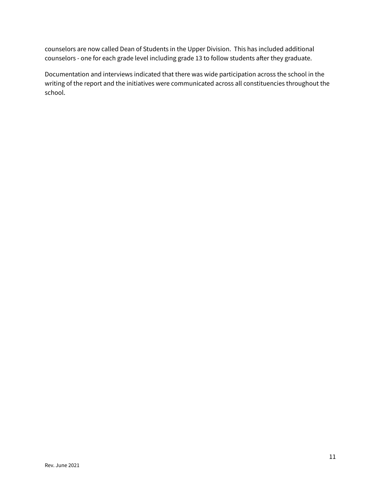counselors are now called Dean of Students in the Upper Division. This has included additional counselors - one for each grade level including grade 13 to follow students after they graduate.

Documentation and interviews indicated that there was wide participation across the school in the writing of the report and the initiatives were communicated across all constituencies throughout the school.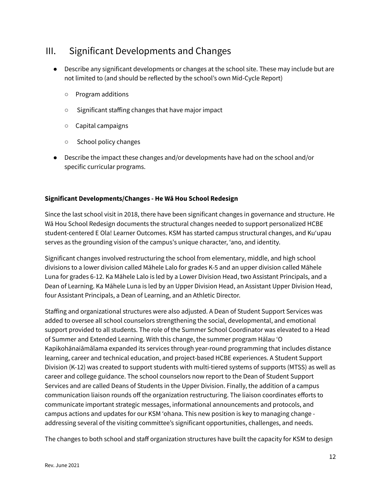### <span id="page-12-0"></span>III. Significant Developments and Changes

- Describe any significant developments or changes at the school site. These may include but are not limited to (and should be reflected by the school's own Mid-Cycle Report)
	- Program additions
	- Significant staffing changes that have major impact
	- Capital campaigns
	- School policy changes
- Describe the impact these changes and/or developments have had on the school and/or specific curricular programs.

#### **Significant Developments/Changes - He Wā Hou School Redesign**

Since the last school visit in 2018, there have been significant changes in governance and structure. He Wā Hou School Redesign documents the structural changes needed to support personalized HCBE student-centered E Ola! Learner Outcomes. KSM has started campus structural changes, and Kuʻupau serves as the grounding vision of the campus's unique character, ʻano, and identity.

Significant changes involved restructuring the school from elementary, middle, and high school divisions to a lower division called Māhele Lalo for grades K-5 and an upper division called Māhele Luna for grades 6-12. Ka Māhele Lalo is led by a Lower Division Head, two Assistant Principals, and a Dean of Learning. Ka Māhele Luna is led by an Upper Division Head, an Assistant Upper Division Head, four Assistant Principals, a Dean of Learning, and an Athletic Director.

Staffing and organizational structures were also adjusted. A Dean of Student Support Services was added to oversee all school counselors strengthening the social, developmental, and emotional support provided to all students. The role of the Summer School Coordinator was elevated to a Head of Summer and Extended Learning. With this change, the summer program Hālau ʻO Kapikohānaiāmālama expanded its services through year-round programming that includes distance learning, career and technical education, and project-based HCBE experiences. A Student Support Division (K-12) was created to support students with multi-tiered systems of supports (MTSS) as well as career and college guidance. The school counselors now report to the Dean of Student Support Services and are called Deans of Students in the Upper Division. Finally, the addition of a campus communication liaison rounds off the organization restructuring. The liaison coordinates efforts to communicate important strategic messages, informational announcements and protocols, and campus actions and updates for our KSM ʻohana. This new position is key to managing change addressing several of the visiting committee's significant opportunities, challenges, and needs.

The changes to both school and staff organization structures have built the capacity for KSM to design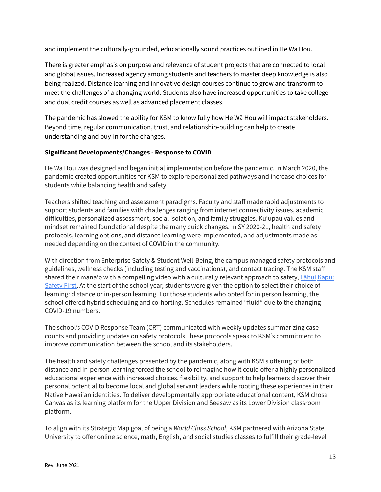and implement the culturally-grounded, educationally sound practices outlined in He Wā Hou.

There is greater emphasis on purpose and relevance of student projects that are connected to local and global issues. Increased agency among students and teachers to master deep knowledge is also being realized. Distance learning and innovative design courses continue to grow and transform to meet the challenges of a changing world. Students also have increased opportunities to take college and dual credit courses as well as advanced placement classes.

The pandemic has slowed the ability for KSM to know fully how He Wā Hou will impact stakeholders. Beyond time, regular communication, trust, and relationship-building can help to create understanding and buy-in for the changes.

#### **Significant Developments/Changes - Response to COVID**

He Wā Hou was designed and began initial implementation before the pandemic. In March 2020, the pandemic created opportunities for KSM to explore personalized pathways and increase choices for students while balancing health and safety.

Teachers shifted teaching and assessment paradigms. Faculty and staff made rapid adjustments to support students and families with challenges ranging from internet connectivity issues, academic difficulties, personalized assessment, social isolation, and family struggles. Kuʻupau values and mindset remained foundational despite the many quick changes. In SY 2020-21, health and safety protocols, learning options, and distance learning were implemented, and adjustments made as needed depending on the context of COVID in the community.

With direction from Enterprise Safety & Student Well-Being, the campus managed safety protocols and guidelines, wellness checks (including testing and vaccinations), and contact tracing. The KSM staff shared their manaʻo with a compelling video with a culturally relevant approach to safety, Lāhui Kapu: Safety First. At the start of the school year, students were given the option to select their choice of learning: distance or in-person learning. For those students who opted for in person learning, the school offered hybrid scheduling and co-horting. Schedules remained "fluid" due to the changing COVID-19 numbers.

The school's COVID Response Team (CRT) communicated with weekly updates summarizing case counts and providing updates on safety protocols.These protocols speak to KSM's commitment to improve communication between the school and its stakeholders.

The health and safety challenges presented by the pandemic, along with KSM's offering of both distance and in-person learning forced the school to reimagine how it could offer a highly personalized educational experience with increased choices, flexibility, and support to help learners discover their personal potential to become local and global servant leaders while rooting these experiences in their Native Hawaiian identities. To deliver developmentally appropriate educational content, KSM chose Canvas as its learning platform for the Upper Division and Seesaw as its Lower Division classroom platform.

To align with its Strategic Map goal of being a *World Class School*, KSM partnered with Arizona State University to offer online science, math, English, and social studies classes to fulfill their grade-level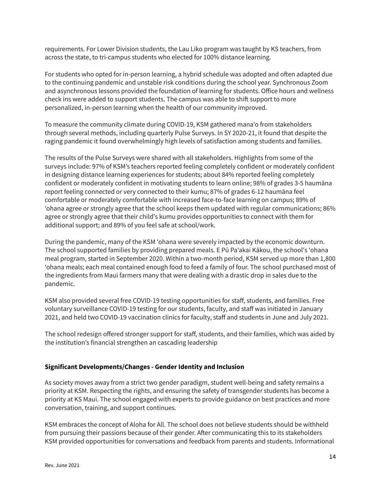requirements. For Lower Division students, the Lau Liko program was taught by KS teachers, from across the state, to tri-campus students who elected for 100% distance learning.

For students who opted for in-person learning, a hybrid schedule was adopted and often adapted due to the continuing pandemic and unstable risk conditions during the school year. Synchronous Zoom and asynchronous lessons provided the foundation of learning for students. Office hours and wellness check ins were added to support students. The campus was able to shift support to more personalized, in-person learning when the health of our community improved.

To measure the community climate during COVID-19, KSM gathered manaʻo from stakeholders through several methods, including quarterly Pulse Surveys. In SY 2020-21, it found that despite the raging pandemic it found overwhelmingly high levels of satisfaction among students and families.

The results of the Pulse Surveys were shared with all stakeholders. Highlights from some of the surveys include: 97% of KSM's teachers reported feeling completely confident or moderately confident in designing distance learning experiences for students; about 84% reported feeling completely confident or moderately confident in motivating students to learn online; 98% of grades 3-5 haumāna report feeling connected or very connected to their kumu; 87% of grades 6-12 haumāna feel comfortable or moderately comfortable with increased face-to-face learning on campus; 89% of 'ohana agree or strongly agree that the school keeps them updated with regular communications; 86% agree or strongly agree that their child's kumu provides opportunities to connect with them for additional support; and 89% of you feel safe at school/work.

During the pandemic, many of the KSM ʻohana were severely impacted by the economic downturn. The school supported families by providing prepared meals. E Pū Paʻakai Kākou, the schoolʻs ʻohana meal program, started in September 2020. Within a two-month period, KSM served up more than 1,800 ʻohana meals; each meal contained enough food to feed a family of four. The school purchased most of the ingredients from Maui farmers many that were dealing with a drastic drop in sales due to the pandemic.

KSM also provided several free COVID-19 testing opportunities for staff, students, and families. Free voluntary surveillance COVID-19 testing for our students, faculty, and staff was initiated in January 2021, and held two COVID-19 vaccination clinics for faculty, staff and students in June and July 2021.

The school redesign offered stronger support for staff, students, and their families, which was aided by the institution's financial strengthen an cascading leadership

#### **Significant Developments/Changes - Gender Identity and Inclusion**

As society moves away from a strict two gender paradigm, student well-being and safety remains a priority at KSM. Respecting the rights, and ensuring the safety of transgender students has become a priority at KS Maui. The school engaged with experts to provide guidance on best practices and more conversation, training, and support continues.

KSM embraces the concept of Aloha for All. The school does not believe students should be withheld from pursuing their passions because of their gender. After communicating this to its stakeholders KSM provided opportunities for conversations and feedback from parents and students. Informational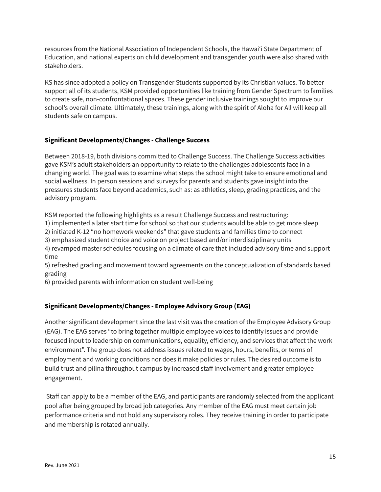resources from the National Association of Independent Schools, the Hawaiʻi State Department of Education, and national experts on child development and transgender youth were also shared with stakeholders.

KS has since adopted a policy on Transgender Students supported by its Christian values. To better support all of its students, KSM provided opportunities like training from Gender Spectrum to families to create safe, non-confrontational spaces. These gender inclusive trainings sought to improve our school's overall climate. Ultimately, these trainings, along with the spirit of Aloha for All will keep all students safe on campus.

#### **Significant Developments/Changes - Challenge Success**

Between 2018-19, both divisions committed to Challenge Success. The Challenge Success activities gave KSM's adult stakeholders an opportunity to relate to the challenges adolescents face in a changing world. The goal was to examine what steps the school might take to ensure emotional and social wellness. In person sessions and surveys for parents and students gave insight into the pressures students face beyond academics, such as: as athletics, sleep, grading practices, and the advisory program.

KSM reported the following highlights as a result Challenge Success and restructuring:

1) implemented a later start time for school so that our students would be able to get more sleep

2) initiated K-12 "no homework weekends" that gave students and families time to connect 3) emphasized student choice and voice on project based and/or interdisciplinary units

4) revamped master schedules focusing on a climate of care that included advisory time and support time

5) refreshed grading and movement toward agreements on the conceptualization of standards based grading

6) provided parents with information on student well-being

#### **Significant Developments/Changes - Employee Advisory Group (EAG)**

Another significant development since the last visit was the creation of the Employee Advisory Group (EAG). The EAG serves "to bring together multiple employee voices to identify issues and provide focused input to leadership on communications, equality, efficiency, and services that affect the work environment". The group does not address issues related to wages, hours, benefits, or terms of employment and working conditions nor does it make policies or rules. The desired outcome is to build trust and pilina throughout campus by increased staff involvement and greater employee engagement.

Staff can apply to be a member of the EAG, and participants are randomly selected from the applicant pool after being grouped by broad job categories. Any member of the EAG must meet certain job performance criteria and not hold any supervisory roles. They receive training in order to participate and membership is rotated annually.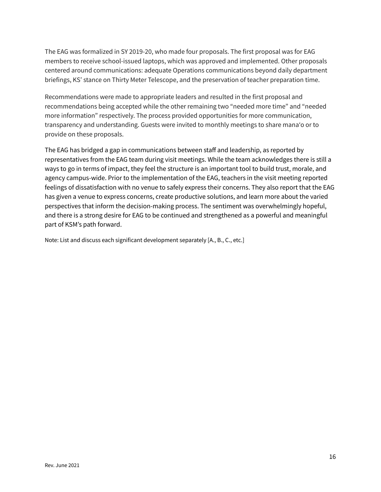The EAG was formalized in SY 2019-20, who made four proposals. The first proposal was for EAG members to receive school-issued laptops, which was approved and implemented. Other proposals centered around communications: adequate Operations communications beyond daily department briefings, KS' stance on Thirty Meter Telescope, and the preservation of teacher preparation time.

Recommendations were made to appropriate leaders and resulted in the first proposal and recommendations being accepted while the other remaining two "needed more time" and "needed more information" respectively. The process provided opportunities for more communication, transparency and understanding. Guests were invited to monthly meetings to share manaʻo or to provide on these proposals.

The EAG has bridged a gap in communications between staff and leadership, as reported by representatives from the EAG team during visit meetings. While the team acknowledges there is still a ways to go in terms of impact, they feel the structure is an important tool to build trust, morale, and agency campus-wide. Prior to the implementation of the EAG, teachers in the visit meeting reported feelings of dissatisfaction with no venue to safely express their concerns. They also report that the EAG has given a venue to express concerns, create productive solutions, and learn more about the varied perspectives that inform the decision-making process. The sentiment was overwhelmingly hopeful, and there is a strong desire for EAG to be continued and strengthened as a powerful and meaningful part of KSM's path forward.

Note: List and discuss each significant development separately [A., B., C., etc.]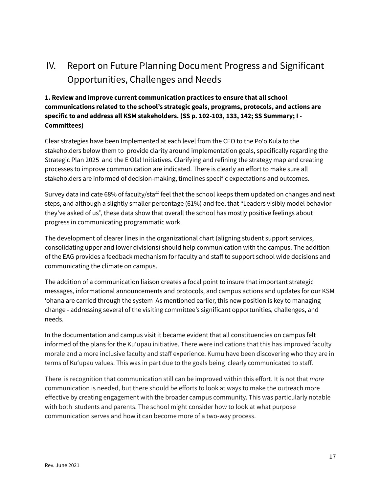## <span id="page-17-0"></span>IV. Report on Future Planning Document Progress and Significant Opportunities, Challenges and Needs

#### **1. Review and improve current communication practices to ensure that all school communications related to the school's strategic goals, programs, protocols, and actions are specific to and address all KSM stakeholders. (SS p. 102-103, 133, 142; SS Summary; I - Committees)**

Clear strategies have been Implemented at each level from the CEO to the Po'o Kula to the stakeholders below them to provide clarity around implementation goals, specifically regarding the Strategic Plan 2025 and the E Ola! Initiatives. Clarifying and refining the strategy map and creating processes to improve communication are indicated. There is clearly an effort to make sure all stakeholders are informed of decision-making, timelines specific expectations and outcomes.

Survey data indicate 68% of faculty/staff feel that the school keeps them updated on changes and next steps, and although a slightly smaller percentage (61%) and feel that "Leaders visibly model behavior they've asked of us", these data show that overall the school has mostly positive feelings about progress in communicating programmatic work.

The development of clearer lines in the organizational chart (aligning student support services, consolidating upper and lower divisions) should help communication with the campus. The addition of the EAG provides a feedback mechanism for faculty and staff to support school wide decisions and communicating the climate on campus.

The addition of a communication liaison creates a focal point to insure that important strategic messages, informational announcements and protocols, and campus actions and updates for our KSM ʻohana are carried through the system As mentioned earlier, this new position is key to managing change - addressing several of the visiting committee's significant opportunities, challenges, and needs.

In the documentation and campus visit it became evident that all constituencies on campus felt informed of the plans for the Kuʻupau initiative. There were indications that this has improved faculty morale and a more inclusive faculty and staff experience. Kumu have been discovering who they are in terms of Kuʻupau values. This was in part due to the goals being clearly communicated to staff.

There is recognition that communication still can be improved within this effort. It is not that *more* communication is needed, but there should be efforts to look at ways to make the outreach more effective by creating engagement with the broader campus community. This was particularly notable with both students and parents. The school might consider how to look at what purpose communication serves and how it can become more of a two-way process.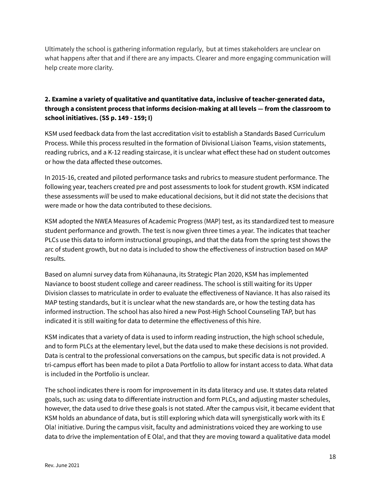Ultimately the school is gathering information regularly, but at times stakeholders are unclear on what happens after that and if there are any impacts. Clearer and more engaging communication will help create more clarity.

#### **2. Examine a variety of qualitative and quantitative data, inclusive of teacher-generated data, through a consistent process that informs decision-making at all levels — from the classroom to school initiatives. (SS p. 149 - 159; I)**

KSM used feedback data from the last accreditation visit to establish a Standards Based Curriculum Process. While this process resulted in the formation of Divisional Liaison Teams, vision statements, reading rubrics, and a K-12 reading staircase, it is unclear what effect these had on student outcomes or how the data affected these outcomes.

In 2015-16, created and piloted performance tasks and rubrics to measure student performance. The following year, teachers created pre and post assessments to look for student growth. KSM indicated these assessments *will* be used to make educational decisions, but it did not state the decisions that were made or how the data contributed to these decisions.

KSM adopted the NWEA Measures of Academic Progress (MAP) test, as its standardized test to measure student performance and growth. The test is now given three times a year. The indicates that teacher PLCs use this data to inform instructional groupings, and that the data from the spring test shows the arc of student growth, but no data is included to show the effectiveness of instruction based on MAP results.

Based on alumni survey data from Kūhanauna, its Strategic Plan 2020, KSM has implemented Naviance to boost student college and career readiness. The school is still waiting for its Upper Division classes to matriculate in order to evaluate the effectiveness of Naviance. It has also raised its MAP testing standards, but it is unclear what the new standards are, or how the testing data has informed instruction. The school has also hired a new Post-High School Counseling TAP, but has indicated it is still waiting for data to determine the effectiveness of this hire.

KSM indicates that a variety of data is used to inform reading instruction, the high school schedule, and to form PLCs at the elementary level, but the data used to make these decisions is not provided. Data is central to the professional conversations on the campus, but specific data is not provided. A tri-campus effort has been made to pilot a Data Portfolio to allow for instant access to data. What data is included in the Portfolio is unclear.

The school indicates there is room for improvement in its data literacy and use. It states data related goals, such as: using data to differentiate instruction and form PLCs, and adjusting master schedules, however, the data used to drive these goals is not stated. After the campus visit, it became evident that KSM holds an abundance of data, but is still exploring which data will synergistically work with its E Ola! initiative. During the campus visit, faculty and administrations voiced they are working to use data to drive the implementation of E Ola!, and that they are moving toward a qualitative data model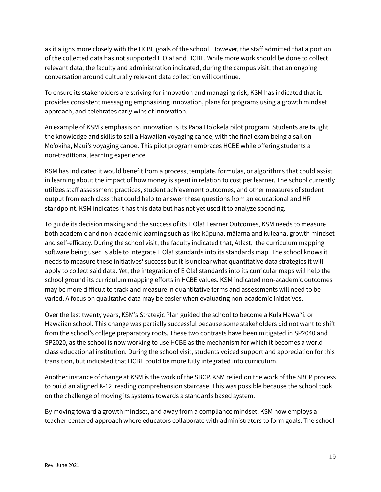as it aligns more closely with the HCBE goals of the school. However, the staff admitted that a portion of the collected data has not supported E Ola! and HCBE. While more work should be done to collect relevant data, the faculty and administration indicated, during the campus visit, that an ongoing conversation around culturally relevant data collection will continue.

To ensure its stakeholders are striving for innovation and managing risk, KSM has indicated that it: provides consistent messaging emphasizing innovation, plans for programs using a growth mindset approach, and celebrates early wins of innovation.

An example of KSM's emphasis on innovation is its Papa Ho'okela pilot program. Students are taught the knowledge and skills to sail a Hawaiian voyaging canoe, with the final exam being a sail on Mo'okiha, Maui's voyaging canoe. This pilot program embraces HCBE while offering students a non-traditional learning experience.

KSM has indicated it would benefit from a process, template, formulas, or algorithms that could assist in learning about the impact of how money is spent in relation to cost per learner. The school currently utilizes staff assessment practices, student achievement outcomes, and other measures of student output from each class that could help to answer these questions from an educational and HR standpoint. KSM indicates it has this data but has not yet used it to analyze spending.

To guide its decision making and the success of its E Ola! Learner Outcomes, KSM needs to measure both academic and non-academic learning such as 'ike kūpuna, mālama and kuleana, growth mindset and self-efficacy. During the school visit, the faculty indicated that, Atlast, the curriculum mapping software being used is able to integrate E Ola! standards into its standards map. The school knows it needs to measure these initiatives' success but it is unclear what quantitative data strategies it will apply to collect said data. Yet, the integration of E Ola! standards into its curricular maps will help the school ground its curriculum mapping efforts in HCBE values. KSM indicated non-academic outcomes may be more difficult to track and measure in quantitative terms and assessments will need to be varied. A focus on qualitative data may be easier when evaluating non-academic initiatives.

Over the last twenty years, KSM's Strategic Plan guided the school to become a Kula Hawaiʻi, or Hawaiian school. This change was partially successful because some stakeholders did not want to shift from the school's college preparatory roots. These two contrasts have been mitigated in SP2040 and SP2020, as the school is now working to use HCBE as the mechanism for which it becomes a world class educational institution. During the school visit, students voiced support and appreciation for this transition, but indicated that HCBE could be more fully integrated into curriculum.

Another instance of change at KSM is the work of the SBCP. KSM relied on the work of the SBCP process to build an aligned K-12 reading comprehension staircase. This was possible because the school took on the challenge of moving its systems towards a standards based system.

By moving toward a growth mindset, and away from a compliance mindset, KSM now employs a teacher-centered approach where educators collaborate with administrators to form goals. The school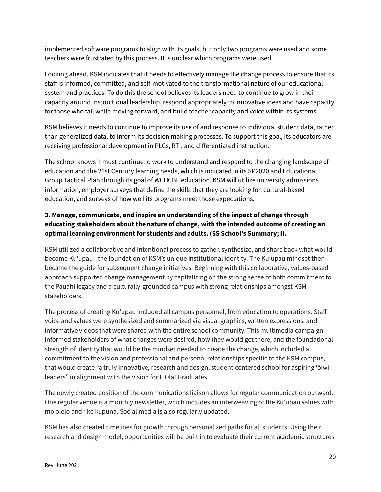implemented software programs to align with its goals, but only two programs were used and some teachers were frustrated by this process. It is unclear which programs were used.

Looking ahead, KSM indicates that it needs to effectively manage the change process to ensure that its staff is informed, committed, and self-motivated to the transformational nature of our educational system and practices. To do this the school believes its leaders need to continue to grow in their capacity around instructional leadership, respond appropriately to innovative ideas and have capacity for those who fail while moving forward, and build teacher capacity and voice within its systems.

KSM believes it needs to continue to improve its use of and response to individual student data, rather than generalized data, to inform its decision making processes. To support this goal, its educators are receiving professional development in PLCs, RTI, and differentiated instruction.

The school knows it must continue to work to understand and respond to the changing landscape of education and the 21st Century learning needs, which is indicated in its SP2020 and Educational Group Tactical Plan through its goal of WCHCBE education. KSM will utilize university admissions information, employer surveys that define the skills that they are looking for, cultural-based education, and surveys of how well its programs meet those expectations.

### **3. Manage, communicate, and inspire an understanding of the impact of change through educating stakeholders about the nature of change, with the intended outcome of creating an optimal learning environment for students and adults. (SS School's Summary; I).**

KSM utilized a collaborative and intentional process to gather, synthesize, and share back what would become Kuʻupau - the foundation of KSM's unique institutional identity. The Kuʻupau mindset then became the guide for subsequent change initiatives. Beginning with this collaborative, values-based approach supported change management by capitalizing on the strong sense of both commitment to the Pauahi legacy and a culturally-grounded campus with strong relationships amongst KSM stakeholders.

The process of creating Kuʻupau included all campus personnel, from education to operations. Staff voice and values were synthesized and summarized via visual graphics, written expressions, and informative videos that were shared with the entire school community. This multimedia campaign informed stakeholders of what changes were desired, how they would get there, and the foundational strength of identity that would be the mindset needed to create the change, which included a commitment to the vision and professional and personal relationships specific to the KSM campus, that would create "a truly innovative, research and design, student-centered school for aspiring ʻōiwi leaders" in alignment with the vision for E Ola! Graduates.

The newly created position of the communications liaison allows for regular communication outward. One regular venue is a monthly newsletter, which includes an interweaving of the Kuʻupau values with moʻolelo and ʻike kupuna. Social media is also regularly updated.

KSM has also created timelines for growth through personalized paths for all students. Using their research and design model, opportunities will be built in to evaluate their current academic structures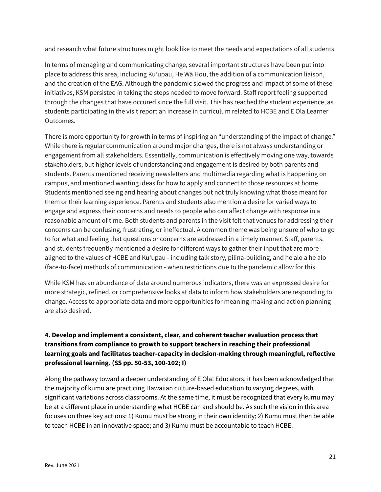and research what future structures might look like to meet the needs and expectations of all students.

In terms of managing and communicating change, several important structures have been put into place to address this area, including Kuʻupau, He Wā Hou, the addition of a communication liaison, and the creation of the EAG. Although the pandemic slowed the progress and impact of some of these initiatives, KSM persisted in taking the steps needed to move forward. Staff report feeling supported through the changes that have occured since the full visit. This has reached the student experience, as students participating in the visit report an increase in curriculum related to HCBE and E Ola Learner Outcomes.

There is more opportunity for growth in terms of inspiring an "understanding of the impact of change." While there is regular communication around major changes, there is not always understanding or engagement from all stakeholders. Essentially, communication is effectively moving one way, towards stakeholders, but higher levels of understanding and engagement is desired by both parents and students. Parents mentioned receiving newsletters and multimedia regarding what is happening on campus, and mentioned wanting ideas for how to apply and connect to those resources at home. Students mentioned seeing and hearing about changes but not truly knowing what those meant for them or their learning experience. Parents and students also mention a desire for varied ways to engage and express their concerns and needs to people who can affect change with response in a reasonable amount of time. Both students and parents in the visit felt that venues for addressing their concerns can be confusing, frustrating, or ineffectual. A common theme was being unsure of who to go to for what and feeling that questions or concerns are addressed in a timely manner. Staff, parents, and students frequently mentioned a desire for different ways to gather their input that are more aligned to the values of HCBE and Kuʻupau - including talk story, pilina-building, and he alo a he alo (face-to-face) methods of communication - when restrictions due to the pandemic allow for this.

While KSM has an abundance of data around numerous indicators, there was an expressed desire for more strategic, refined, or comprehensive looks at data to inform how stakeholders are responding to change. Access to appropriate data and more opportunities for meaning-making and action planning are also desired.

### **4. Develop and implement a consistent, clear, and coherent teacher evaluation process that transitions from compliance to growth to support teachers in reaching their professional learning goals and facilitates teacher-capacity in decision-making through meaningful, reflective professional learning. (SS pp. 50-53, 100-102; I)**

Along the pathway toward a deeper understanding of E Ola! Educators, it has been acknowledged that the majority of kumu are practicing Hawaiian culture-based education to varying degrees, with significant variations across classrooms. At the same time, it must be recognized that every kumu may be at a different place in understanding what HCBE can and should be. As such the vision in this area focuses on three key actions: 1) Kumu must be strong in their own identity; 2) Kumu must then be able to teach HCBE in an innovative space; and 3) Kumu must be accountable to teach HCBE.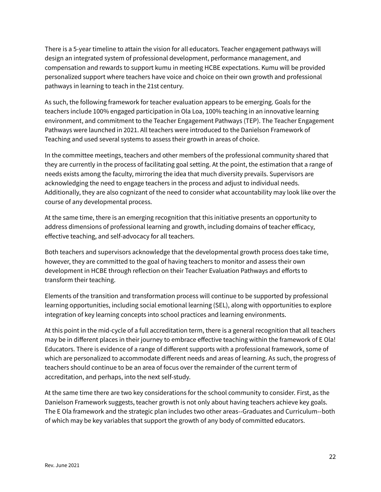There is a 5-year timeline to attain the vision for all educators. Teacher engagement pathways will design an integrated system of professional development, performance management, and compensation and rewards to support kumu in meeting HCBE expectations. Kumu will be provided personalized support where teachers have voice and choice on their own growth and professional pathways in learning to teach in the 21st century.

As such, the following framework for teacher evaluation appears to be emerging. Goals for the teachers include 100% engaged participation in Ola Loa, 100% teaching in an innovative learning environment, and commitment to the Teacher Engagement Pathways (TEP). The Teacher Engagement Pathways were launched in 2021. All teachers were introduced to the Danielson Framework of Teaching and used several systems to assess their growth in areas of choice.

In the committee meetings, teachers and other members of the professional community shared that they are currently in the process of facilitating goal setting. At the point, the estimation that a range of needs exists among the faculty, mirroring the idea that much diversity prevails. Supervisors are acknowledging the need to engage teachers in the process and adjust to individual needs. Additionally, they are also cognizant of the need to consider what accountability may look like over the course of any developmental process.

At the same time, there is an emerging recognition that this initiative presents an opportunity to address dimensions of professional learning and growth, including domains of teacher efficacy, effective teaching, and self-advocacy for all teachers.

Both teachers and supervisors acknowledge that the developmental growth process does take time, however, they are committed to the goal of having teachers to monitor and assess their own development in HCBE through reflection on their Teacher Evaluation Pathways and efforts to transform their teaching.

Elements of the transition and transformation process will continue to be supported by professional learning opportunities, including social emotional learning (SEL), along with opportunities to explore integration of key learning concepts into school practices and learning environments.

At this point in the mid-cycle of a full accreditation term, there is a general recognition that all teachers may be in different places in their journey to embrace effective teaching within the framework of E Ola! Educators. There is evidence of a range of different supports with a professional framework, some of which are personalized to accommodate different needs and areas of learning. As such, the progress of teachers should continue to be an area of focus over the remainder of the current term of accreditation, and perhaps, into the next self-study.

At the same time there are two key considerations for the school community to consider. First, as the Danielson Framework suggests, teacher growth is not only about having teachers achieve key goals. The E Ola framework and the strategic plan includes two other areas--Graduates and Curriculum--both of which may be key variables that support the growth of any body of committed educators.